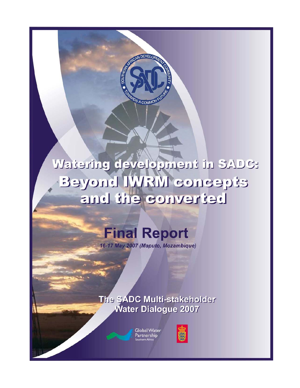# **Watering development in SADC:** Beyond IWRM concepts betreviros enti bins

**DEVEI** 

A COMMO

# **Final Report**

16-17 May 2007 (Maputo, Mozambique)

The SADC Multi-stakeholder **Water Dialogue 2007** 



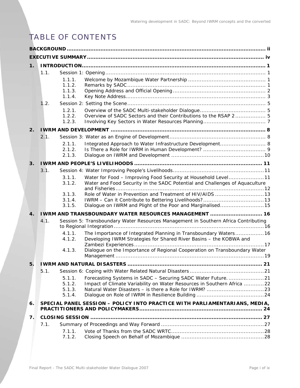# TABLE OF CONTENTS

| $\mathbf 1$ .  |      |                  |                                                                                                                                        |  |  |
|----------------|------|------------------|----------------------------------------------------------------------------------------------------------------------------------------|--|--|
|                | 1.1. |                  |                                                                                                                                        |  |  |
|                |      | 1.1.1.           |                                                                                                                                        |  |  |
|                |      | 1.1.2.           |                                                                                                                                        |  |  |
|                |      | 1.1.3.           |                                                                                                                                        |  |  |
|                |      | 1.1.4.           |                                                                                                                                        |  |  |
|                | 1.2. |                  |                                                                                                                                        |  |  |
|                |      | 1.2.1.<br>1.2.2. | Overview of SADC Sectors and their Contributions to the RSAP 2 5                                                                       |  |  |
|                |      | 1.2.3.           |                                                                                                                                        |  |  |
| 2.             |      |                  |                                                                                                                                        |  |  |
|                | 2.1. |                  |                                                                                                                                        |  |  |
|                |      | 2.1.1.           | Integrated Approach to Water Infrastructure Development 8                                                                              |  |  |
|                |      | 2.1.2.           |                                                                                                                                        |  |  |
|                |      | 2.1.3.           |                                                                                                                                        |  |  |
| 3.             |      |                  |                                                                                                                                        |  |  |
|                | 3.1. |                  |                                                                                                                                        |  |  |
|                |      | 3.1.1.           | Water for Food - Improving Food Security at Household Level11                                                                          |  |  |
|                |      | 3.1.2.           | Water and Food Security in the SADC Potential and Challenges of Aquaculture                                                            |  |  |
|                |      | 3.1.3.           |                                                                                                                                        |  |  |
|                |      | 3.1.4.           |                                                                                                                                        |  |  |
|                |      | 3.1.5.           | Dialogue on IWRM and Plight of the Poor and Marginalised15                                                                             |  |  |
| $\mathbf{4}$ . |      |                  | IWRM AND TRANSBOUNDARY WATER RESOURCES MANAGEMENT  16                                                                                  |  |  |
|                | 4.1. |                  | Session 5: Transboundary Water Resources Management in Southern Africa Contributing                                                    |  |  |
|                |      |                  |                                                                                                                                        |  |  |
|                |      | 4.1.1.<br>4.1.2. | The Importance of Integrated Planning in Transboundary Waters 16<br>Developing IWRM Strategies for Shared River Basins - the KOBWA and |  |  |
|                |      | 4.1.3.           | Dialogue on the Importance of Regional Cooperation on Transboundary Water                                                              |  |  |
|                |      |                  |                                                                                                                                        |  |  |
| 5.             |      |                  |                                                                                                                                        |  |  |
|                | 5.1. |                  |                                                                                                                                        |  |  |
|                |      | 5.1.1.           | Forecasting Systems in SADC - Securing SADC Water Future21                                                                             |  |  |
|                |      | 5.1.2.           | Impact of Climate Variability on Water Resources in Southern Africa 22                                                                 |  |  |
|                |      | 5.1.3.<br>5.1.4. |                                                                                                                                        |  |  |
|                |      |                  |                                                                                                                                        |  |  |
| 6.             |      |                  | SPECIAL PANEL SESSION - POLICY INTO PRACTICE WITH PARLIAMENTARIANS, MEDIA,                                                             |  |  |
| 7.             |      |                  |                                                                                                                                        |  |  |
|                | 7.1. |                  |                                                                                                                                        |  |  |
|                |      | 7.1.1.           |                                                                                                                                        |  |  |
|                |      | 7.1.2.           |                                                                                                                                        |  |  |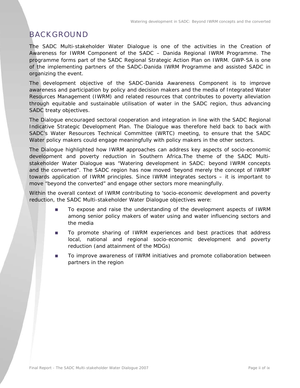# BACKGROUND

The SADC Multi-stakeholder Water Dialogue is one of the activities in the Creation of Awareness for IWRM Component of the SADC – Danida Regional IWRM Programme. The programme forms part of the SADC Regional Strategic Action Plan on IWRM. GWP-SA is one of the implementing partners of the SADC-Danida IWRM Programme and assisted SADC in organizing the event.

The development objective of the SADC-Danida Awareness Component is to *improve awareness and participation by policy and decision makers and the media of Integrated Water Resources Management (IWRM) and related resources that contributes to poverty alleviation through equitable and sustainable utilisation of water in the SADC region, thus advancing SADC treaty objectives.*

The Dialogue encouraged sectoral cooperation and integration in line with the SADC Regional Indicative Strategic Development Plan. The Dialogue was therefore held back to back with SADC's Water Resources Technical Committee (WRTC) meeting, to ensure that the SADC Water policy makers could engage meaningfully with policy makers in the other sectors.

The Dialogue highlighted how IWRM approaches can address key aspects of socio-economic development and poverty reduction in Southern Africa.The theme of the SADC Multistakeholder Water Dialogue was *"Watering development in SADC: beyond IWRM concepts and the converted".* The SADC region has now moved 'beyond merely the concept of IWRM' towards application of IWRM principles. Since IWRM integrates sectors – it is important to move "beyond the converted" and engage other sectors more meaningfully.

Within the overall context of IWRM contributing to 'socio-economic development and poverty reduction, the SADC Multi-stakeholder Water Dialogue objectives were:

- To expose and raise the understanding of the development aspects of IWRM among senior policy makers of water using and water influencing sectors and the media
- To promote sharing of IWRM experiences and best practices that address local, national and regional socio-economic development and poverty reduction (and attainment of the MDGs)
- To improve awareness of IWRM initiatives and promote collaboration between partners in the region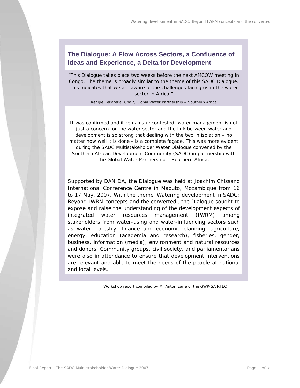# **The Dialogue: A Flow Across Sectors, a Confluence of Ideas and Experience, a Delta for Development**

*"This Dialogue takes place two weeks before the next AMCOW meeting in Congo. The theme is broadly similar to the theme of this SADC Dialogue. This indicates that we are aware of the challenges facing us in the water sector in Africa."* 

*Reggie Tekateka, Chair, Global Water Partnership – Southern Africa* 

It was confirmed and it remains uncontested: water management is not just a concern for the water sector and the link between water and development is so strong that dealing with the two in isolation – no matter how well it is done - is a complete façade. This was more evident during the SADC Multistakeholder Water Dialogue convened by the Southern African Development Community (SADC) in partnership with the Global Water Partnership – Southern Africa.

Supported by DANIDA, the Dialogue was held at Joachim Chissano International Conference Centre in Maputo, Mozambique from 16 to 17 May, 2007. With the theme 'Watering development in SADC: Beyond IWRM concepts and the converted', the Dialogue sought to expose and raise the understanding of the development aspects of integrated water resources management (IWRM) among stakeholders from water-using and water-influencing sectors such as water, forestry, finance and economic planning, agriculture, energy, education (academia and research), fisheries, gender, business, information (media), environment and natural resources and donors. Community groups, civil society, and parliamentarians were also in attendance to ensure that development interventions are relevant and able to meet the needs of the people at national and local levels.

*Workshop report compiled by Mr Anton Earle of the GWP-SA RTEC*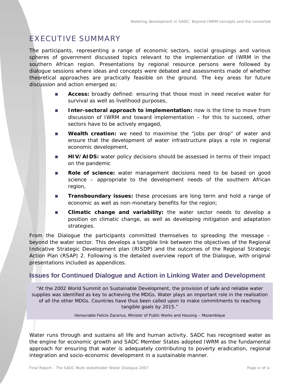# EXECUTIVE SUMMARY

The participants, representing a range of economic sectors, social groupings and various spheres of government discussed topics relevant to the implementation of IWRM in the southern African region. Presentations by regional resource persons were followed by dialogue sessions where ideas and concepts were debated and assessments made of whether theoretical approaches are practically feasible on the ground. The key areas for future discussion and action emerged as:

- **Access:** broadly defined: ensuring that those most in need receive water for survival as well as livelihood purposes,
- **Inter-sectoral approach to implementation:** now is the time to move from discussion of IWRM and toward implementation – for this to succeed, other sectors have to be actively engaged,
- **Wealth creation:** we need to maximise the "jobs per drop" of water and ensure that the development of water infrastructure plays a role in regional economic development,
- **HIV/AIDS:** water policy decisions should be assessed in terms of their impact on the pandemic
- **Role of science:** water management decisions need to be based on good science – appropriate to the development needs of the southern African region,
- **Transboundary issues:** these processes are long term and hold a range of economic as well as non-monetary benefits for the region;
- **Climatic change and variability:** the water sector needs to develop a position on climatic change, as well as developing mitigation and adaptation strategies.

From the Dialogue the participants committed themselves to spreading the message – beyond the water sector. This develops a tangible link between the objectives of the Regional Indicative Strategic Development plan (RISDP) and the outcomes of the Regional Strategic Action Plan (RSAP) 2. Following is the detailed overview report of the Dialogue, with original presentations included as appendices.

### **Issues for Continued Dialogue and Action in Linking Water and Development**

*"At the 2002 World Summit on Sustainable Development, the provision of safe and reliable water supplies was identified as key to achieving the MDGs. Water plays an important role in the realisation of all the other MDGs. Countries have thus been called upon to make commitments to reaching tangible goals by 2015."* 

*Honourable Felicio Zacarius, Minister of Public Works and Housing – Mozambique* 

Water runs through and sustains all life and human activity. SADC has recognised water as the engine for economic growth and SADC Member States adopted IWRM as the fundamental approach for ensuring that water is adequately contributing to poverty eradication, regional integration and socio-economic development in a sustainable manner.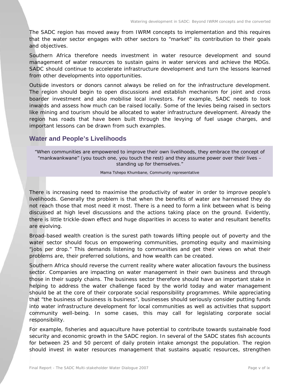The SADC region has moved away from IWRM concepts to implementation and this requires that the water sector engages with other sectors to "market" its contribution to their goals and objectives.

Southern Africa therefore needs investment in water resource development and sound management of water resources to sustain gains in water services and achieve the MDGs. SADC should continue to accelerate infrastructure development and turn the lessons learned from other developments into opportunities.

Outside investors or donors cannot always be relied on for the infrastructure development. The region should begin to open discussions and establish mechanism for joint and cross boarder investment and also mobilise local investors. For example, SADC needs to look inwards and assess how much can be raised locally. Some of the levies being raised in sectors like mining and tourism should be allocated to water infrastructure development. Already the region has roads that have been built through the levying of fuel usage charges, and important lessons can be drawn from such examples.

### **Water and People's Livelihoods**

*"When communities are empowered to improve their own livelihoods, they embrace the concept of "mankwankwane" (you touch one, you touch the rest) and they assume power over their lives – standing up for themselves."* 

*Mama Tshepo Khumbane, Community representative* 

There is increasing need to maximise the productivity of water in order to improve people's livelihoods. Generally the problem is that when the benefits of water are harnessed they do not reach those that most need it most. There is a need to form a link between what is being discussed at high level discussions and the actions taking place on the ground. Evidently, there is little trickle-down effect and huge disparities in access to water and resultant benefits are evolving.

Broad-based wealth creation is the surest path towards lifting people out of poverty and the water sector should focus on empowering communities, promoting equity and maximising "jobs per drop." This demands listening to communities and get their views on what their problems are, their preferred solutions, and how wealth can be created.

Southern Africa should reverse the current reality where water allocation favours the business sector. Companies are impacting on water management in their own business and through those in their supply chains. The business sector therefore should have an important stake in helping to address the water challenge faced by the world today and water management should be at the core of their corporate social responsibility programmes. While appreciating that "the business of business is business", businesses should seriously consider putting funds into water infrastructure development for local communities as well as activities that support community well-being. In some cases, this may call for legislating corporate social responsibility.

For example, fisheries and aquaculture have potential to contribute towards sustainable food security and economic growth in the SADC region. In several of the SADC states fish accounts for between 25 and 50 percent of daily protein intake amongst the population. The region should invest in water resources management that sustains aquatic resources, strengthen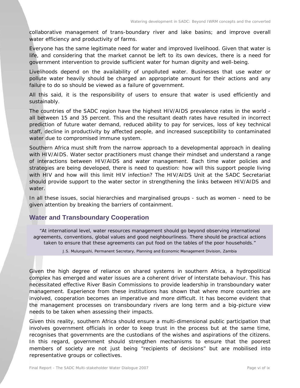collaborative management of trans-boundary river and lake basins; and improve overall water efficiency and productivity of farms.

Everyone has the same legitimate need for water and improved livelihood. Given that water is life, and considering that the market cannot be left to its own devices, there is a need for government intervention to provide sufficient water for human dignity and well-being.

Livelihoods depend on the availability of unpolluted water. Businesses that use water or pollute water heavily should be charged an appropriate amount for their actions and any failure to do so should be viewed as a failure of government.

All this said, it is the responsibility of users to ensure that water is used efficiently and sustainably.

The countries of the SADC region have the highest HIV/AIDS prevalence rates in the world all between 15 and 35 percent. This and the resultant death rates have resulted in incorrect prediction of future water demand, reduced ability to pay for services, loss of key technical staff, decline in productivity by affected people, and increased susceptibility to contaminated water due to compromised immune system.

Southern Africa must shift from the narrow approach to a developmental approach in dealing with HIV/AIDS. Water sector practitioners must change their mindset and understand a range of interactions between HIV/AIDS and water management. Each time water policies and strategies are being developed, there is need to question: how will this support people living with HIV and how will this limit HIV infection? The HIV/AIDS Unit at the SADC Secretariat should provide support to the water sector in strengthening the links between HIV/AIDS and water.

In all these issues, social hierarchies and marginalised groups - such as women - need to be given attention by breaking the barriers of containment.

### **Water and Transboundary Cooperation**

"At international level, water resources management should go beyond observing international agreements, conventions, global values and good neighbourliness. There should be practical actions taken to ensure that these agreements can put food on the tables of the poor households."

*J.S. Mulungushi, Permanent Secretary, Planning and Economic Management Division, Zambia* 

Given the high degree of reliance on shared systems in southern Africa, a hydropolitical complex has emerged and water issues are a coherent driver of interstate behaviour. This has necessitated effective River Basin Commissions to provide leadership in transboundary water management. Experience from these institutions has shown that where more countries are involved, cooperation becomes an imperative and more difficult. It has become evident that the management processes on transboundary rivers are long term and a big-picture view needs to be taken when assessing their impacts.

Given this reality, southern Africa should ensure a multi-dimensional public participation that involves government officials in order to keep trust in the process but at the same time, recognises that governments are the custodians of the wishes and aspirations of the citizens. In this regard, government should strengthen mechanisms to ensure that the poorest members of society are not just being "recipients of decisions" but are mobilised into representative groups or collectives.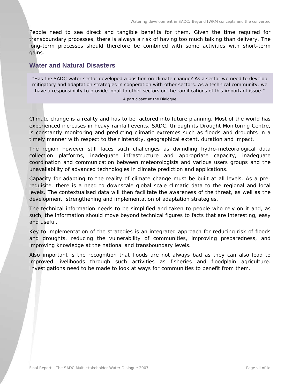People need to see direct and tangible benefits for them. Given the time required for transboundary processes, there is always a risk of having too much talking than delivery. The long-term processes should therefore be combined with some activities with short-term gains.

### **Water and Natural Disasters**

"Has the SADC water sector developed a position on climate change? As a sector we need to develop mitigatory and adaptation strategies in cooperation with other sectors. As a technical community, we have a responsibility to provide input to other sectors on the ramifications of this important issue."

#### *A participant at the Dialogue*

Climate change is a reality and has to be factored into future planning. Most of the world has experienced increases in heavy rainfall events. SADC, through its Drought Monitoring Centre, is constantly monitoring and predicting climatic extremes such as floods and droughts in a timely manner with respect to their intensity, geographical extent, duration and impact.

The region however still faces such challenges as dwindling hydro-meteorological data collection platforms, inadequate infrastructure and appropriate capacity, inadequate coordination and communication between meteorologists and various users groups and the unavailability of advanced technologies in climate prediction and applications.

Capacity for adapting to the reality of climate change must be built at all levels. As a prerequisite, there is a need to downscale global scale climatic data to the regional and local levels. The contextualised data will then facilitate the awareness of the threat, as well as the development, strengthening and implementation of adaptation strategies.

The technical information needs to be simplified and taken to people who rely on it and, as such, the information should move beyond technical figures to facts that are interesting, easy and useful.

Key to implementation of the strategies is an integrated approach for reducing risk of floods and droughts, reducing the vulnerability of communities, improving preparedness, and improving knowledge at the national and transboundary levels.

Also important is the recognition that floods are not always bad as they can also lead to improved livelihoods through such activities as fisheries and floodplain agriculture. Investigations need to be made to look at ways for communities to benefit from them.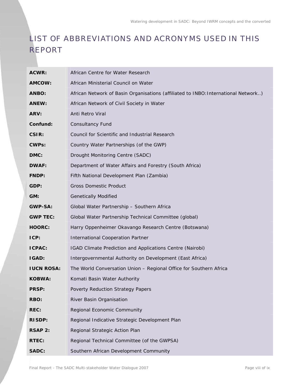# LIST OF ABBREVIATIONS AND ACRONYMS USED IN THIS REPORT

| ACWR:             | African Centre for Water Research                                                  |
|-------------------|------------------------------------------------------------------------------------|
| AMCOW:            | African Ministerial Council on Water                                               |
| ANBO:             | African Network of Basin Organisations (affiliated to INBO: International Network) |
| ANEW:             | African Network of Civil Society in Water                                          |
| ARV:              | Anti Retro Viral                                                                   |
| Confund:          | <b>Consultancy Fund</b>                                                            |
| CSIR:             | Council for Scientific and Industrial Research                                     |
| <b>CWPs:</b>      | Country Water Partnerships (of the GWP)                                            |
| DMC:              | Drought Monitoring Centre (SADC)                                                   |
| <b>DWAF:</b>      | Department of Water Affairs and Forestry (South Africa)                            |
| <b>FNDP:</b>      | Fifth National Development Plan (Zambia)                                           |
| GDP:              | <b>Gross Domestic Product</b>                                                      |
| GM:               | <b>Genetically Modified</b>                                                        |
| <b>GWP-SA:</b>    | Global Water Partnership - Southern Africa                                         |
| <b>GWP TEC:</b>   | Global Water Partnership Technical Committee (global)                              |
| <b>HOORC:</b>     | Harry Oppenheimer Okavango Research Centre (Botswana)                              |
| ICP:              | International Cooperation Partner                                                  |
| <b>ICPAC:</b>     | IGAD Climate Prediction and Applications Centre (Nairobi)                          |
| IGAD:             | Intergovernmental Authority on Development (East Africa)                           |
| <b>IUCN ROSA:</b> | The World Conversation Union - Regional Office for Southern Africa                 |
| <b>KOBWA:</b>     | Komati Basin Water Authority                                                       |
| <b>PRSP:</b>      | Poverty Reduction Strategy Papers                                                  |
| RBO:              | River Basin Organisation                                                           |
| REC:              | Regional Economic Community                                                        |
| <b>RISDP:</b>     | Regional Indicative Strategic Development Plan                                     |
| <b>RSAP 2:</b>    | Regional Strategic Action Plan                                                     |
| RTEC:             | Regional Technical Committee (of the GWPSA)                                        |
| <b>SADC:</b>      | Southern African Development Community                                             |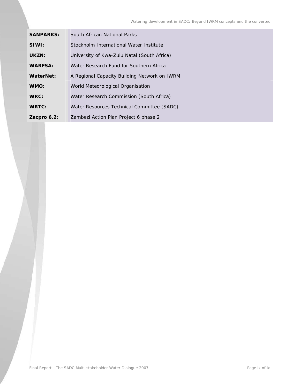| <b>SANPARKS:</b> | South African National Parks                 |
|------------------|----------------------------------------------|
| SIWI:            | Stockholm International Water Institute      |
| UKZN:            | University of Kwa-Zulu Natal (South Africa)  |
| <b>WARFSA:</b>   | Water Research Fund for Southern Africa      |
| WaterNet:        | A Regional Capacity Building Network on IWRM |
| WMO:             | World Meteorological Organisation            |
| WRC:             | Water Research Commission (South Africa)     |
| <b>WRTC:</b>     | Water Resources Technical Committee (SADC)   |
| Zacpro $6.2$ :   | Zambezi Action Plan Project 6 phase 2        |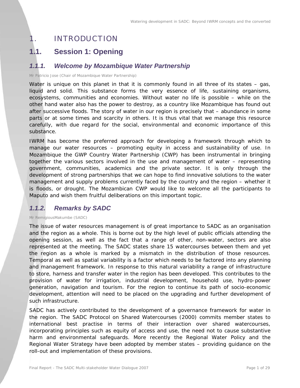# 1. INTRODUCTION

# **1.1. Session 1: Opening**

### *1.1.1. Welcome by Mozambique Water Partnership*

*Mr Patricio Jose (Chair of Mozambique Water Partnership)* 

Water is unique on this planet in that it is commonly found in all three of its states – gas, liquid and solid. This substance forms the very essence of life, sustaining organisms, ecosystems, communities and economies. Without water no life is possible – while on the other hand water also has the power to destroy, as a country like Mozambique has found out after successive floods. The story of water in our region is precisely that – abundance in some parts or at some times and scarcity in others. It is thus vital that we manage this resource carefully, with due regard for the social, environmental and economic importance of this substance.

IWRM has become the preferred approach for developing a framework through which to manage our water resources – promoting equity in access and sustainability of use. In Mozambique the GWP Country Water Partnership (CWP) has been instrumental in bringing together the various sectors involved in the use and management of water – representing government, communities, academics and the private sector. It is only through the development of strong partnerships that we can hope to find innovative solutions to the water management and supply problems currently faced by the country and the region – whether it is floods, or drought. The Mozambican CWP would like to welcome all the participants to Maputo and wish them fruitful deliberations on this important topic.

# *1.1.2. Remarks by SADC*

*Mr RemigiousMakumbe (SADC)* 

The issue of water resources management is of great importance to SADC as an organisation and the region as a whole. This is borne out by the high level of public officials attending the opening session, as well as the fact that a range of other, non-water, sectors are also represented at the meeting. The SADC states share 15 watercourses between them and yet the region as a whole is marked by a mismatch in the distribution of those resources. Temporal as well as spatial variability is a factor which needs to be factored into any planning and management framework. In response to this natural variability a range of infrastructure to store, harness and transfer water in the region has been developed. This contributes to the provision of water for irrigation, industrial development, household use, hydro-power generation, navigation and tourism. For the region to continue its path of socio-economic development, attention will need to be placed on the upgrading and further development of such infrastructure.

SADC has actively contributed to the development of a governance framework for water in the region. The SADC Protocol on Shared Watercourses (2000) commits member states to international best practise in terms of their interaction over shared watercourses, incorporating principles such as equity of access and use, the need not to cause substantive harm and environmental safeguards. More recently the Regional Water Policy and the Regional Water Strategy have been adopted by member states – providing guidance on the roll-out and implementation of these provisions.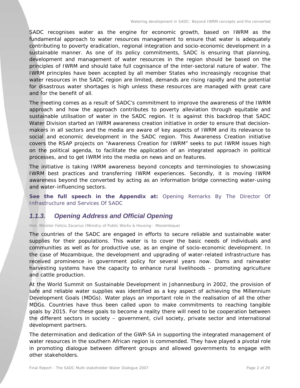SADC recognises water as the engine for economic growth, based on IWRM as the fundamental approach to water resources management to ensure that water is adequately contributing to poverty eradication, regional integration and socio-economic development in a sustainable manner. As one of its policy commitments, SADC is ensuring that planning, development and management of water resources in the region should be based on the principles of IWRM and should take full cognisance of the inter-sectoral nature of water. The IWRM principles have been accepted by all member States who increasingly recognise that water resources in the SADC region are limited, demands are rising rapidly and the potential for disastrous water shortages is high unless these resources are managed with great care and for the benefit of all.

The meeting comes as a result of SADC's commitment to improve the awareness of the IWRM approach and how the approach contributes to poverty alleviation through equitable and sustainable utilisation of water in the SADC region. It is against this backdrop that SADC Water Division started an IWRM awareness creation initiative in order to ensure that decisionmakers in all sectors and the media are aware of key aspects of IWRM and its relevance to social and economic development in the SADC region. This Awareness Creation initiative covers the RSAP projects on "Awareness Creation for IWRM" seeks to put IWRM issues high on the political agenda, to facilitate the application of an integrated approach in political processes, and to get IWRM into the media on news and on features.

The initiative is taking IWRM awareness beyond concepts and terminologies to showcasing IWRM best practices and transferring IWRM experiences. Secondly, it is moving IWRM awareness beyond the converted by acting as an information bridge connecting water-using and water-influencing sectors.

**See the full speech in the Appendix at:** *Opening Remarks By The Director Of Infrastructure and Services Of SADC*

# *1.1.3. Opening Address and Official Opening*

*Hon. Minister Felicio Zacarius (Ministry of Public Works & Housing - Mozambique)* 

The countries of the SADC are engaged in efforts to secure reliable and sustainable water supplies for their populations. This water is to cover the basic needs of individuals and communities as well as for productive use, as an engine of socio-economic development. In the case of Mozambique, the development and upgrading of water-related infrastructure has received prominence in government policy for several years now. Dams and rainwater harvesting systems have the capacity to enhance rural livelihoods – promoting agriculture and cattle production.

At the World Summit on Sustainable Development in Johannesburg in 2002, the provision of safe and reliable water supplies was identified as a key aspect of achieving the Millennium Development Goals (MDGs). Water plays an important role in the realisation of all the other MDGs. Countries have thus been called upon to make commitments to reaching tangible goals by 2015. For these goals to become a reality there will need to be cooperation between the different sectors in society – government, civil society, private sector and international development partners.

The determination and dedication of the GWP-SA in supporting the integrated management of water resources in the southern African region is commended. They have played a pivotal role in promoting dialogue between different groups and allowed governments to engage with other stakeholders.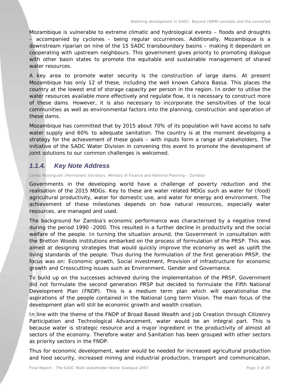Mozambique is vulnerable to extreme climatic and hydrological events – floods and droughts – accompanied by cyclones - being regular occurrences. Additionally, Mozambique is a downstream riparian on nine of the 15 SADC transboundary basins – making it dependant on cooperating with upstream neighbours. This government gives priority to promoting dialogue with other basin states to promote the equitable and sustainable management of shared water resources.

A key area to promote water security is the construction of large dams. At present Mozambique has only 12 of these, including the well known Cahora Bassa. This places the country at the lowest end of storage capacity per person in the region. In order to utilise the water resources available more effectively and regulate flow, it is necessary to construct more of these dams. However, it is also necessary to incorporate the sensitivities of the local communities as well as environmental factors into the planning, construction and operation of these dams.

Mozambique has committed that by 2015 about 70% of its population will have access to safe water supply and 60% to adequate sanitation. The country is at the moment developing a strategy for the achievement of these goals – with inputs form a range of stakeholders. The initiative of the SADC Water Division in convening this event to promote the development of joint solutions to our common challenges is welcomed.

# *1.1.4. Key Note Address*

*James Mulungushi (Permanent Secretary, Ministry of Finance and National Planning – Zambia)* 

Governments in the developing world have a challenge of poverty reduction and the realisation of the 2015 MDGs. Key to these are water related MDGs such as water for (food) agricultural productivity, water for domestic use, and water for energy and environment. The achievement of these milestones depends on how natural resources, especially water resources, are managed and used.

The background for Zambia's economic performance was characterised by a negative trend during the period 1990 -2000. This resulted in a further decline in productivity and the social welfare of the people. In turning the situation around, the Government in consultation with the Bretton Woods institutions embarked on the process of formulation of the PRSP. This was aimed at designing strategies that would quickly improve the economy as well as uplift the living standards of the people. Thus during the formulation of the first generation PRSP, the focus was on: *Economic growth, Social investment, Provision of infrastructure for economic growth and Crosscutting issues such as Environment, Gender and Governance*.

To build up on the successes achieved during the implementation of the PRSP, Government did not formulate the second generation PRSP but decided to formulate the Fifth National Development Plan (FNDP). This is a medium term plan which will operationalise the aspirations of the people contained in the National Long term Vision. The main focus of the development plan will still be economic growth and wealth creation.

In line with the theme of the FNDP of Broad Based Wealth and Job Creation through Citizenry Participation and Technological Advancement, water would be an integral part. This is because water is strategic resource and a major ingredient in the productivity of almost all sectors of the economy. Therefore water and Sanitation has been grouped with other sectors as priority sectors in the FNDP.

Thus for economic development, water would be needed for increased agricultural production and food security, increased mining and industrial production, transport and communication,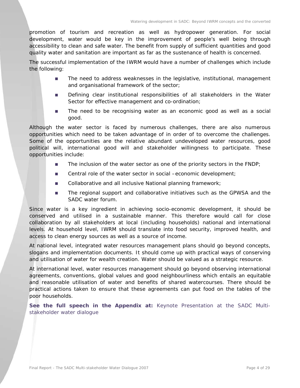promotion of tourism and recreation as well as hydropower generation. For social development, water would be key in the improvement of people's well being through accessibility to clean and safe water. The benefit from supply of sufficient quantities and good quality water and sanitation are important as far as the sustenance of health is concerned.

The successful implementation of the IWRM would have a number of challenges which include the following:

- **The need to address weaknesses in the legislative, institutional, management** and organisational framework of the sector;
- **Defining clear institutional responsibilities of all stakeholders in the Water** Sector for effective management and co-ordination;
- The need to be recognising water as an economic good as well as a social good.

Although the water sector is faced by numerous challenges, there are also numerous opportunities which need to be taken advantage of in order of to overcome the challenges. Some of the opportunities are the relative abundant undeveloped water resources, good political will, international good will and stakeholder willingness to participate. These opportunities include:

- The inclusion of the water sector as one of the priority sectors in the  $FNDP$ ;
- Central role of the water sector in social –economic development;
- Collaborative and all inclusive National planning framework;
- **The regional support and collaborative initiatives such as the GPWSA and the** SADC water forum.

Since water is a key ingredient in achieving socio-economic development, it should be conserved and utilised in a sustainable manner. This therefore would call for close collaboration by all stakeholders at local (including households) national and international levels. At household level, IWRM should translate into food security, improved health, and access to clean energy sources as well as a source of income.

At national level, integrated water resources management plans should go beyond concepts, slogans and implementation documents. It should come up with practical ways of conserving and utilisation of water for wealth creation. Water should be valued as a strategic resource.

At international level, water resources management should go beyond observing international agreements, conventions, global values and good neighbourliness which entails an equitable and reasonable utilisation of water and benefits of shared watercourses. There should be practical actions taken to ensure that these agreements can put food on the tables of the poor households.

*See the full speech in the Appendix at: Keynote Presentation at the SADC Multistakeholder water dialogue*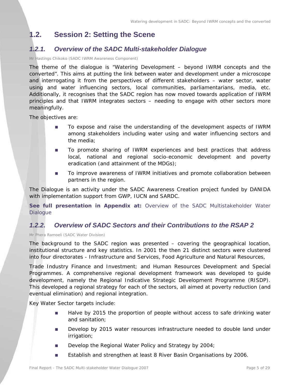# **1.2. Session 2: Setting the Scene**

# *1.2.1. Overview of the SADC Multi-stakeholder Dialogue*

*Mr Hastings Chikoko (SADC IWRM Awareness Component)* 

The theme of the dialogue is "Watering Development – beyond IWRM concepts and the converted". This aims at putting the link between water and development under a microscope and interrogating it from the perspectives of different stakeholders – water sector, water using and water influencing sectors, local communities, parliamentarians, media, etc. Additionally, it recognises that the SADC region has now moved towards application of IWRM principles and that IWRM integrates sectors – needing to engage with other sectors more meaningfully.

The objectives are:

- To expose and raise the understanding of the development aspects of IWRM among stakeholders including water using and water influencing sectors and the media;
- To promote sharing of IWRM experiences and best practices that address local, national and regional socio-economic development and poverty eradication (and attainment of the MDGs);
- To improve awareness of IWRM initiatives and promote collaboration between partners in the region.

The Dialogue is an activity under the SADC Awareness Creation project funded by DANIDA with implementation support from GWP, IUCN and SARDC.

**See full presentation in Appendix at:** *Overview of the SADC Multistakeholder Water Dialogue*

### *1.2.2. Overview of SADC Sectors and their Contributions to the RSAP 2*

*Mr Phera Ramoeli (SADC Water Division)* 

The background to the SADC region was presented – covering the geographical location, institutional structure and key statistics. In 2001 the then 21 distinct sectors were clustered into four directorates - Infrastructure and Services, Food Agriculture and Natural Resources,

Trade Industry Finance and Investment; and Human Resources Development and Special Programmes. A comprehensive regional development framework was developed to guide development, namely the Regional Indicative Strategic Development Programme (RISDP). This developed a regional strategy for each of the sectors, all aimed at poverty reduction (and eventual elimination) and regional integration.

Key Water Sector targets include:

- **Halve by 2015 the proportion of people without access to safe drinking water** and sanitation;
- **Develop by 2015 water resources infrastructure needed to double land under** irrigation;
- Develop the Regional Water Policy and Strategy by 2004;
- **Establish and strengthen at least 8 River Basin Organisations by 2006.**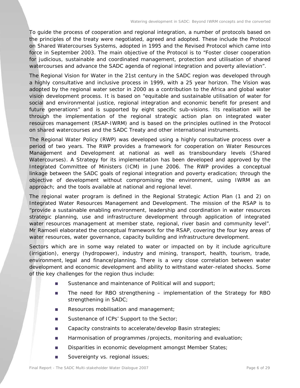To guide the process of cooperation and regional integration, a number of protocols based on the principles of the treaty were negotiated, agreed and adopted. These include the Protocol on Shared Watercourses Systems, adopted in 1995 and the Revised Protocol which came into force in September 2003. The main objective of the Protocol is to "Foster closer cooperation for judicious, sustainable and coordinated management, protection and utilisation of shared watercourses and advance the SADC agenda of regional integration and poverty alleviation".

The Regional Vision for Water in the 21st century in the SADC region was developed through a highly consultative and inclusive process in 1999, with a 25 year horizon. The Vision was adopted by the regional water sector in 2000 as a contribution to the Africa and global water vision development process. It is based on "equitable and sustainable utilisation of water for social and environmental justice, regional integration and economic benefit for present and future generations" and is supported by eight specific sub-visions. Its realisation will be through the implementation of the regional strategic action plan on integrated water resources management (RSAP-IWRM) and is based on the principles outlined in the Protocol on shared watercourses and the SADC Treaty and other international instruments.

The Regional Water Policy (RWP) was developed using a highly consultative process over a period of two years. The RWP provides a framework for cooperation on Water Resources Management and Development at national as well as transboundary levels (Shared Watercourses). A Strategy for its implementation has been developed and approved by the Integrated Committee of Ministers (ICM) in June 2006. The RWP provides a conceptual linkage between the SADC goals of regional integration and poverty eradication; through the objective of development without compromising the environment, using IWRM as an approach; and the tools available at national and regional level.

The regional water program is defined in the Regional Strategic Action Plan (1 and 2) on Integrated Water Resources Management and Development. The mission of the RSAP is to "provide a sustainable enabling environment, leadership and coordination in water resources strategic planning, use and infrastructure development through application of integrated water resources management at member state, regional, river basin and community level". Mr Ramoeli elaborated the conceptual framework for the RSAP, covering the four key areas of water resources, water governance, capacity building and infrastructure development.

Sectors which are in some way related to water or impacted on by it include agriculture (irrigation), energy (hydropower), industry and mining, transport, health, tourism, trade, environment, legal and finance/planning. There is a very close correlation between water development and economic development and ability to withstand water-related shocks. Some of the key challenges for the region thus include:

- Sustenance and maintenance of Political will and support;
- The need for RBO strengthening implementation of the Strategy for RBO strengthening in SADC;
- Resources mobilisation and management;
- Sustenance of ICPs' Support to the Sector;
- Capacity constraints to accelerate/develop Basin strategies;
- Harmonisation of programmes /projects, monitoring and evaluation;
- Disparities in economic development amongst Member States;
- Sovereignty vs. regional issues;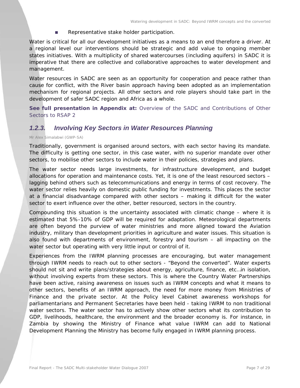Representative stake holder participation.

Water is critical for all our development initiatives as a means to an end therefore a driver. At a regional level our interventions should be strategic and add value to ongoing member states initiatives. With a multiplicity of shared watercourses (including aquifers) in SADC it is imperative that there are collective and collaborative approaches to water development and management.

Water resources in SADC are seen as an opportunity for cooperation and peace rather than cause for conflict, with the River basin approach having been adopted as an implementation mechanism for regional projects. All other sectors and role players should take part in the development of safer SADC region and Africa as a whole.

**See full presentation in Appendix at:** *Overview of the SADC and Contributions of Other Sectors to RSAP 2*

### *1.2.3. Involving Key Sectors in Water Resources Planning*

#### *Mr Alex Simalabwi (GWP-SA)*

Traditionally, government is organised around sectors, with each sector having its mandate. The difficulty is getting one sector, in this case water, with no superior mandate over other sectors, to mobilise other sectors to include water in their policies, strategies and plans.

The water sector needs large investments, for infrastructure development, and budget allocations for operation and maintenance costs. Yet, it is one of the least resourced sectors – lagging behind others such as telecommunications and energy in terms of cost recovery. The water sector relies heavily on domestic public funding for investments. This places the sector at a financial disadvantage compared with other sectors – making it difficult for the water sector to exert influence over the other, better resourced, sectors in the country.

Compounding this situation is the uncertainty associated with climatic change – where it is estimated that 5%-10% of GDP will be required for adaptation. Meteorological departments are often beyond the purview of water ministries and more aligned toward the Aviation industry, military than development priorities in agriculture and water issues. This situation is also found with departments of environment, forestry and tourism – all impacting on the water sector but operating with very little input or control of it.

Experiences from the IWRM planning processes are encouraging, but water management through IWRM needs to reach out to other sectors - "Beyond the converted". Water experts should not sit and write plans/strategies about energy, agriculture, finance, etc…in isolation, without involving experts from these sectors. This is where the Country Water Partnerships have been active, raising awareness on issues such as IWRM concepts and what it means to other sectors, benefits of an IWRM approach, the need for more money from Ministries of Finance and the private sector. At the Policy level Cabinet awareness workshops for parliamentarians and Permanent Secretaries have been held - taking IWRM to non traditional water sectors. The water sector has to actively show other sectors what its contribution to GDP, livelihoods, healthcare, the environment and the broader economy is. For instance, in Zambia by showing the Ministry of Finance what value IWRM can add to National Development Planning the Ministry has become fully engaged in IWRM planning process.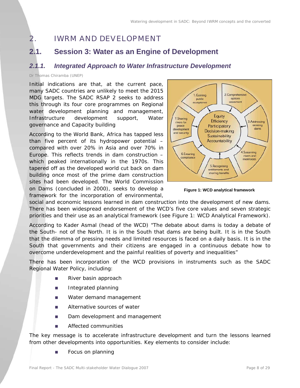# 2. IWRM AND DEVELOPMENT

# **2.1. Session 3: Water as an Engine of Development**

# *2.1.1. Integrated Approach to Water Infrastructure Development*

#### *Dr Thomas Chiramba (UNEP)*

Initial indications are that, at the current pace, many SADC countries are unlikely to meet the 2015 MDG targets. The SADC RSAP 2 seeks to address this through its four core programmes on Regional water development planning and management, Infrastructure development support, Water governance and Capacity building

According to the World Bank, Africa has tapped less than five percent of its hydropower potential – compared with over 20% in Asia and over 70% in Europe. This reflects trends in dam construction – which peaked internationally in the 1970s. This tapered off as the developed world cut back on dam building once most of the prime dam construction sites had been developed. The World Commission on Dams (concluded in 2000), seeks to develop a framework for the incorporation of environmental,



**Figure 1: WCD analytical framework**

social and economic lessons learned in dam construction into the development of new dams. There has been widespread endorsement of the WCD's five core values and seven strategic priorities and their use as an analytical framework (see Figure 1: WCD Analytical Framework).

According to Kader Asmal (head of the WCD) "The debate about dams is today a debate of the South- not of the North. It is in the South that dams are being built. It is in the South that the dilemma of pressing needs and limited resources is faced on a daily basis. It is in the South that governments and their citizens are engaged in a continuous debate how to overcome underdevelopment and the painful realities of poverty and inequalities"

There has been incorporation of the WCD provisions in instruments such as the SADC Regional Water Policy, including:

- River basin approach
- **Integrated planning**
- **Nater demand management**
- **Alternative sources of water**
- Dam development and management
- Affected communities

The key message is to accelerate infrastructure development and turn the lessons learned from other developments into opportunities. Key elements to consider include:

**Focus on planning**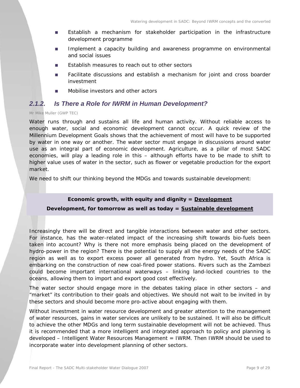- Establish a mechanism for stakeholder participation in the infrastructure development programme
- **Implement a capacity building and awareness programme on environmental** and social issues
- **Establish measures to reach out to other sectors**
- **Facilitate discussions and establish a mechanism for joint and cross boarder** investment
- Mobilise investors and other actors

#### *2.1.2. Is There a Role for IWRM in Human Development?*

#### *Mr Mike Muller (GWP TEC)*

Water runs through and sustains all life and human activity. Without reliable access to enough water, social and economic development cannot occur. A quick review of the Millennium Development Goals shows that the achievement of most will have to be supported by water in one way or another. The water sector must engage in discussions around water use as an integral part of economic development. Agriculture, as a pillar of most SADC economies, will play a leading role in this – although efforts have to be made to shift to higher value uses of water in the sector, such as flower or vegetable production for the export market.

We need to shift our thinking beyond the MDGs and towards sustainable development:

#### **Economic growth, with equity and dignity = Development**

#### **Development, for tomorrow as well as today = Sustainable development**

Increasingly there will be direct and tangible interactions between water and other sectors. For instance, has the water-related impact of the increasing shift towards bio-fuels been taken into account? Why is there not more emphasis being placed on the development of hydro-power in the region? There is the potential to supply all the energy needs of the SADC region as well as to export excess power all generated from hydro. Yet, South Africa is embarking on the construction of new coal-fired power stations. Rivers such as the Zambezi could become important international waterways – linking land-locked countries to the oceans, allowing them to import and export good cost effectively.

The water sector should engage more in the debates taking place in other sectors – and "market" its contribution to their goals and objectives. We should not wait to be invited in by these sectors and should become more pro-active about engaging with them.

Without investment in water resource development and greater attention to the management of water resources, gains in water services are unlikely to be sustained. It will also be difficult to achieve the other MDGs and long term sustainable development will not be achieved. Thus it is recommended that a more intelligent and integrated approach to policy and planning is developed – Intelligent Water Resources Management = IWRM. Then IWRM should be used to incorporate water into development planning of other sectors.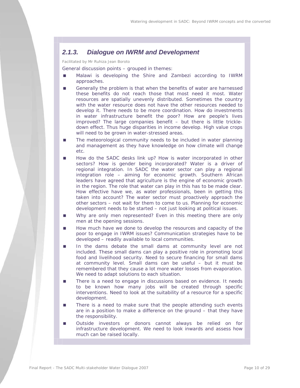### *2.1.3. Dialogue on IWRM and Development*

*Facilitated by Mr Ruhiza Jean Boroto*

General discussion points – grouped in themes:

- Malawi is developing the Shire and Zambezi according to IWRM approaches.
- Generally the problem is that when the benefits of water are harnessed these benefits do not reach those that most need it most. Water resources are spatially unevenly distributed. Sometimes the country with the water resource does not have the other resources needed to develop it. There needs to be more coordination. How do investments in water infrastructure benefit the poor? How are people's lives improved? The large companies benefit – but there is little trickledown effect. Thus huge disparities in income develop. High value crops will need to be grown in water-stressed areas.
- The meteorological community needs to be included in water planning and management as they have knowledge on how climate will change etc.
- How do the SADC desks link up? How is water incorporated in other sectors? How is gender being incorporated? Water is a driver of regional integration. In SADC the water sector can play a regional integration role – aiming for economic growth. Southern African leaders have agreed that agriculture is the engine of economic growth in the region. The role that water can play in this has to be made clear. How effective have we, as water professionals, been in getting this taken into account? The water sector must proactively approach the other sectors – not wait for them to come to us. Planning for economic development needs to be started – not just looking at political issues.
- Why are only men represented? Even in this meeting there are only men at the opening sessions.
- **How much have we done to develop the resources and capacity of the** poor to engage in IWRM issues? Communication strategies have to be developed – readily available to local communities.
- In the dams debate the small dams at community level are not included. These small dams can play a positive role in promoting local food and livelihood security. Need to secure financing for small dams at community level. Small dams can be useful – but it must be remembered that they cause a lot more water losses from evaporation. We need to adapt solutions to each situation.
- There is a need to engage in discussions based on evidence. It needs to be known how many jobs will be created through specific interventions. Need to look at the suitability of a resource for a specific development.
- **There is a need to make sure that the people attending such events** are in a position to make a difference on the ground – that they have the responsibility.
- Outside investors or donors cannot always be relied on for infrastructure development. We need to look inwards and assess how much can be raised locally.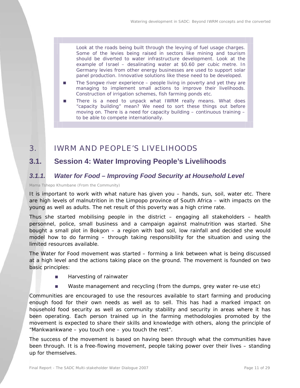Look at the roads being built through the levying of fuel usage charges. Some of the levies being raised in sectors like mining and tourism should be diverted to water infrastructure development. Look at the example of Israel – desalinating water at \$0.60 per cubic metre. In Germany levies from other energy businesses are used to support solar panel production. Innovative solutions like these need to be developed.

- The Songwe river experience people living in poverty and yet they are managing to implement small actions to improve their livelihoods. Construction of irrigation schemes, fish farming ponds etc.
- There is a need to unpack what IWRM really means. What does "capacity building" mean? We need to sort these things out before moving on. There is a need for capacity building – continuous training – to be able to compete internationally.

# 3. IWRM AND PEOPLE'S LIVELIHOODS

# **3.1. Session 4: Water Improving People's Livelihoods**

# *3.1.1. Water for Food – Improving Food Security at Household Level*

*Mama Tshepo Khumbane (From the Community)* 

It is important to work with what nature has given you – hands, sun, soil, water etc. There are high levels of malnutrition in the Limpopo province of South Africa – with impacts on the young as well as adults. The net result of this poverty was a high crime rate.

Thus she started mobilising people in the district – engaging all stakeholders – health personnel, police, small business and a campaign against malnutrition was started. She bought a small plot in Bokgon – a region with bad soil, low rainfall and decided she would model how to do farming – through taking responsibility for the situation and using the limited resources available.

The Water for Food movement was started – forming a link between what is being discussed at a high level and the actions taking place on the ground. The movement is founded on two basic principles:

- Harvesting of rainwater
- Waste management and recycling (from the dumps, grey water re-use etc)

Communities are encouraged to use the resources available to start farming and producing enough food for their own needs as well as to sell. This has had a marked impact on household food security as well as community stability and security in areas where it has been operating. Each person trained up in the farming methodologies promoted by the movement is expected to share their skills and knowledge with others, along the principle of "Mankwankwane – you touch one – you touch the rest".

The success of the movement is based on having been through what the communities have been through. It is a free-flowing movement, people taking power over their lives – standing up for themselves.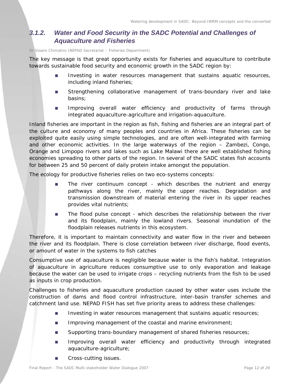# *3.1.2. Water and Food Security in the SADC Potential and Challenges of Aquaculture and Fisheries*

#### *Dr Sloans Chimatiro (NEPAD Secretariat – Fisheries Department)*

The key message is that great opportunity exists for fisheries and aquaculture to contribute towards sustainable food security and economic growth in the SADC region by:

- **Investing in water resources management that sustains aquatic resources,** including inland fisheries;
- **Strengthening collaborative management of trans-boundary river and lake** basins;
- **IMPROVING OVER ALL MATEL EFFICIENCY and productivity of farms through** integrated aquaculture-agriculture and irrigation-aquaculture.

Inland fisheries are important in the region as fish, fishing and fisheries are an integral part of the culture and economy of many peoples and countries in Africa. These fisheries can be exploited quite easily using simple technologies, and are often well-integrated with farming and other economic activities. In the large waterways of the region – Zambezi, Congo, Orange and Limpopo rivers and lakes such as Lake Malawi there are well established fishing economies spreading to other parts of the region. In several of the SADC states fish accounts for between 25 and 50 percent of daily protein intake amongst the population.

The ecology for productive fisheries relies on two eco-systems concepts:

- **The river continuum concept which describes the nutrient and energy** pathways along the river, mainly the upper reaches. Degradation and transmission downstream of material entering the river in its upper reaches provides vital nutrients;
- The flood pulse concept which describes the relationship between the river and its floodplain, mainly the lowland rivers. Seasonal inundation of the floodplain releases nutrients in this ecosystem.

Therefore, it is important to maintain connectivity and water flow in the river and between the river and its floodplain. There is close correlation between river discharge, flood events, or amount of water in the systems to fish catches

Consumptive use of aquaculture is negligible because water is the fish's habitat. Integration of aquaculture in agriculture reduces consumptive use to only evaporation and leakage because the water can be used to irrigate crops – recycling nutrients from the fish to be used as inputs in crop production.

Challenges to fisheries and aquaculture production caused by other water uses include the construction of dams and flood control infrastructure, inter-basin transfer schemes and catchment land use. NEPAD FISH has set five priority areas to address these challenges:

- Investing in water resources management that sustains aquatic resources;
- Improving management of the coastal and marine environment;
- **Supporting trans-boundary management of shared fisheries resources;**
- **IMPROVING** overall water efficiency and productivity through integrated aquaculture-agriculture;
- Cross-cutting issues.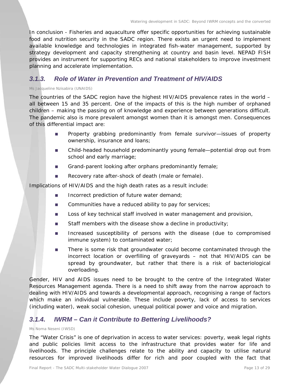In conclusion - Fisheries and aquaculture offer specific opportunities for achieving sustainable food and nutrition security in the SADC region. There exists an urgent need to implement available knowledge and technologies in integrated fish-water management, supported by strategy development and capacity strengthening at country and basin level. NEPAD FISH provides an instrument for supporting RECs and national stakeholders to improve investment planning and accelerate implementation.

# *3.1.3. Role of Water in Prevention and Treatment of HIV/AIDS*

#### *Ms Jacqueline Nzisabira (UNAIDS)*

The countries of the SADC region have the highest HIV/AIDS prevalence rates in the world – all between 15 and 35 percent. One of the impacts of this is the high number of orphaned children – making the passing on of knowledge and experience between generations difficult. The pandemic also is more prevalent amongst women than it is amongst men. Consequences of this differential impact are:

- **Property grabbing predominantly from female survivor—issues of property** ownership, insurance and loans;
- Child-headed household predominantly young female—potential drop out from school and early marriage;
- Grand-parent looking after orphans predominantly female;
- Recovery rate after-shock of death (male or female).

Implications of HIV/AIDS and the high death rates as a result include:

- **Incorrect prediction of future water demand;**
- Communities have a reduced ability to pay for services;
- **Loss of key technical staff involved in water management and provision,**
- Staff members with the disease show a decline in productivity;
- **Increased susceptibility of persons with the disease (due to compromised** immune system) to contaminated water;
- There is some risk that groundwater could become contaminated through the incorrect location or overfilling of graveyards – not that HIV/AIDS can be spread by groundwater, but rather that there is a risk of bacteriological overloading.

Gender, HIV and AIDS issues need to be brought to the centre of the Integrated Water Resources Management agenda. There is a need to shift away from the narrow approach to dealing with HIV/AIDS and towards a developmental approach, recognising a range of factors which make an individual vulnerable. These include poverty, lack of access to services (including water), weak social cohesion, unequal political power and voice and migration.

### *3.1.4. IWRM – Can it Contribute to Bettering Livelihoods?*

#### *Ms Noma Neseni (IWSD)*

The "Water Crisis" is one of deprivation in access to water services: poverty, weak legal rights and public policies limit access to the infrastructure that provides water for life and livelihoods. The principle challenges relate to the ability and capacity to utilise natural resources for improved livelihoods differ for rich and poor coupled with the fact that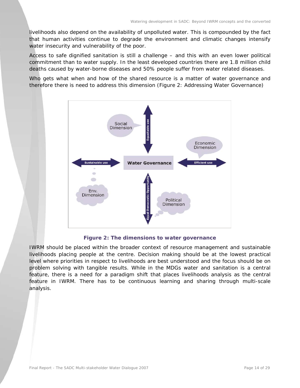livelihoods also depend on the availability of unpolluted water. This is compounded by the fact that human activities continue to degrade the environment and climatic changes intensify water insecurity and vulnerability of the poor.

Access to safe dignified sanitation is still a challenge – and this with an even lower political commitment than to water supply. In the least developed countries there are 1.8 million child deaths caused by water-borne diseases and 50% people suffer from water related diseases.

Who gets what when and how of the shared resource is a matter of water governance and therefore there is need to address this dimension (Figure 2: Addressing Water Governance)



**Figure 2: The dimensions to water governance** 

IWRM should be placed within the broader context of resource management and sustainable livelihoods placing people at the centre. Decision making should be at the lowest practical level where priorities in respect to livelihoods are best understood and the focus should be on problem solving with tangible results. While in the MDGs water and sanitation is a central feature, there is a need for a paradigm shift that places livelihoods analysis as the central feature in IWRM. There has to be continuous learning and sharing through multi-scale analysis.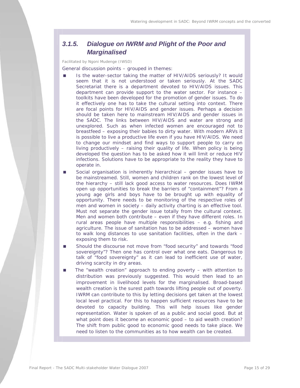# *3.1.5. Dialogue on IWRM and Plight of the Poor and Marginalised*

*Facilitated by Ngoni Mudenge (IWSD)* 

General discussion points – grouped in themes:

- Is the water-sector taking the matter of HIV/AIDS seriously? It would seem that it is not understood or taken seriously. At the SADC Secretariat there is a department devoted to HIV/AIDS issues. This department can provide support to the water sector. For instance – toolkits have been developed for the promotion of gender issues. To do it effectively one has to take the cultural setting into context. There are focal points for HIV/AIDS and gender issues. Perhaps a decision should be taken here to mainstream HIV/AIDS and gender issues in the SADC. The links between HIV/AIDS and water are strong and unexplored. Such as when infected women are encouraged not to breastfeed – exposing their babies to dirty water. With modern ARVs it is possible to live a productive life even if you have HIV/AIDS. We need to change our mindset and find ways to support people to carry on living productively – raising their quality of life. When policy is being developed the question has to be asked how it will limit or reduce HIV infections. Solutions have to be appropriate to the reality they have to operate in.
- Social organisation is inherently hierarchical gender issues have to be mainstreamed. Still, women and children rank on the lowest level of the hierarchy – still lack good access to water resources. Does IWRM open up opportunities to break the barriers of "containment"? From a young age girls and boys have to be brought up with equality of opportunity. There needs to be monitoring of the respective roles of men and women in society – daily activity charting is an effective tool. Must not separate the gender issue totally from the cultural context. Men and women both contribute – even if they have different roles. In rural areas people have multiple responsibilities – e.g. fishing and agriculture. The issue of sanitation has to be addressed – women have to walk long distances to use sanitation facilities, often in the dark – exposing them to risk.
- Should the discourse not move from "food security" and towards "food sovereignty"? Then one has control over what one eats. Dangerous to talk of "food sovereignty" as it can lead to inefficient use of water, driving scarcity in dry areas.
- The "wealth creation" approach to ending poverty with attention to distribution was previously suggested. This would then lead to an improvement in livelihood levels for the marginalised. Broad-based wealth creation is the surest path towards lifting people out of poverty. IWRM can contribute to this by letting decisions get taken at the lowest local level practical. For this to happen sufficient resources have to be devoted to capacity building. This will help issues like gender representation. Water is spoken of as a public and social good. But at what point does it become an economic good – to aid wealth creation? The shift from public good to economic good needs to take place. We need to listen to the communities as to how wealth can be created.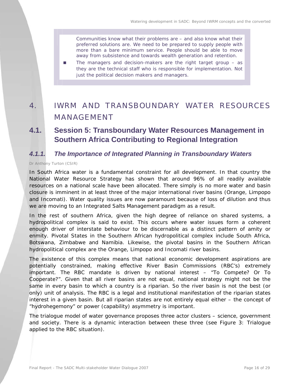Communities know what their problems are – and also know what their preferred solutions are. We need to be prepared to supply people with more than a bare minimum service. People should be able to move away from subsistence and towards wealth generation and retention.

■ The managers and decision-makers are the right target group – as they are the technical staff who is responsible for implementation. Not just the political decision makers and managers.

# 4. IWRM AND TRANSBOUNDARY WATER RESOURCES MANAGEMENT

# **4.1. Session 5: Transboundary Water Resources Management in Southern Africa Contributing to Regional Integration**

### *4.1.1. The Importance of Integrated Planning in Transboundary Waters*

#### *Dr Anthony Turton (CSIR)*

In South Africa water is a fundamental constraint for all development. In that country the National Water Resource Strategy has shown that around 96% of all readily available resources on a national scale have been allocated. There simply is no more water and basin closure is imminent in at least three of the major international river basins (Orange, Limpopo and Incomati). Water quality issues are now paramount because of loss of dilution and thus we are moving to an Integrated Salts Management paradigm as a result.

In the rest of southern Africa, given the high degree of reliance on shared systems, a hydropolitical complex is said to exist. This occurs where water issues form a coherent enough driver of interstate behaviour to be discernable as a distinct pattern of amity or enmity. Pivotal States in the Southern African hydropolitical complex include South Africa, Botswana, Zimbabwe and Namibia. Likewise, the pivotal basins in the Southern African hydropolitical complex are the Orange, Limpopo and Incomati river basins.

The existence of this complex means that national economic development aspirations are potentially constrained, making effective River Basin Commissions (RBC's) extremely important. The RBC mandate is driven by national interest – "To Compete? Or To Cooperate?". Given that all river basins are not equal, national strategy might not be the same in every basin to which a country is a riparian. So the river basin is not the best (or only) unit of analysis. The RBC is a legal and institutional manifestation of the riparian states interest in a given basin. But all riparian states are not entirely equal either – the concept of "hydrohegemony" or power (capability) asymmetry is important.

The trialogue model of water governance proposes three actor clusters – science, government and society. There is a dynamic interaction between these three (see Figure 3: Trialogue applied to the RBC situation).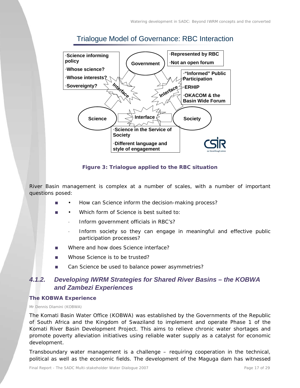



#### **Figure 3: Trialogue applied to the RBC situation**

River Basin management is complex at a number of scales, with a number of important questions posed:

- How can Science inform the decision-making process?
- Which form of Science is best suited to:
	- Inform government officials in RBC's?
	- Inform society so they can engage in meaningful and effective public participation processes?
- Where and how does Science interface?
- Whose Science is to be trusted?
- Can Science be used to balance power asymmetries?

### *4.1.2. Developing IWRM Strategies for Shared River Basins – the KOBWA and Zambezi Experiences*

#### **The KOBWA Experience**

#### *Mr Dennis Dlamini (KOBWA)*

The Komati Basin Water Office (KOBWA) was established by the Governments of the Republic of South Africa and the Kingdom of Swaziland to implement and operate Phase 1 of the Komati River Basin Development Project. This aims to relieve chronic water shortages and promote poverty alleviation initiatives using reliable water supply as a catalyst for economic development.

Transboundary water management is a challenge – requiring cooperation in the technical, political as well as the economic fields. The development of the Maguga dam has witnessed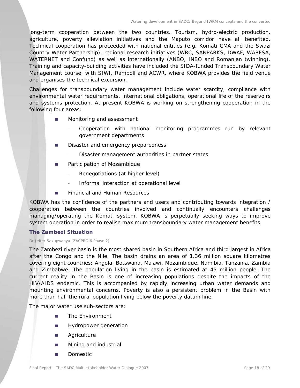long-term cooperation between the two countries. Tourism, hydro-electric production, agriculture, poverty alleviation initiatives and the Maputo corridor have all benefited. Technical cooperation has proceeded with national entities (e.g. Komati CMA and the Swazi Country Water Partnership), regional research initiatives (WRC, SANPARKS, DWAF, WARFSA, WATERNET and Confund) as well as internationally (ANBO, INBO and Romanian twinning). Training and capacity-building activities have included the SIDA-funded Transboundary Water Management course, with SIWI, Ramboll and ACWR, where KOBWA provides the field venue and organises the technical excursion.

Challenges for transboundary water management include water scarcity, compliance with environmental water requirements, international obligations, operational life of the reservoirs and systems protection. At present KOBWA is working on strengthening cooperation in the following four areas:

- **Monitoring and assessment** 
	- Cooperation with national monitoring programmes run by relevant government departments
- **Disaster and emergency preparedness** 
	- Disaster management authorities in partner states
- **Participation of Mozambique** 
	- Renegotiations (at higher level)
	- Informal interaction at operational level
- **Financial and Human Resources**

KOBWA has the confidence of the partners and users and contributing towards integration / cooperation between the countries involved and continually encounters challenges managing/operating the Komati system. KOBWA is perpetually seeking ways to improve system operation in order to realise maximum transboundary water management benefits

#### **The Zambezi Situation**

#### *Dr Jefter Sakupwanya (ZACPRO 6 Phase 2)*

The Zambezi river basin is the most shared basin in Southern Africa and third largest in Africa after the Congo and the Nile. The basin drains an area of 1.36 million square kilometres covering eight countries: Angola, Botswana, Malawi, Mozambique, Namibia, Tanzania, Zambia and Zimbabwe. The population living in the basin is estimated at 45 million people. The current reality in the Basin is one of increasing populations despite the impacts of the HIV/AIDS endemic. This is accompanied by rapidly increasing urban water demands and mounting environmental concerns. Poverty is also a persistent problem in the Basin with more than half the rural population living below the poverty datum line.

The major water use sub-sectors are:

- **The Environment**
- **Hydropower generation**
- **Agriculture**
- **Mining and industrial**
- **Domestic**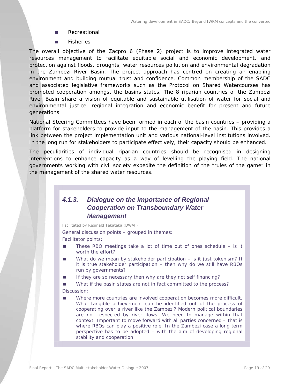- Recreational
- Fisheries

The overall objective of the Zacpro 6 (Phase 2) project is to improve integrated water resources management to facilitate equitable social and economic development, and protection against floods, droughts, water resources pollution and environmental degradation in the Zambezi River Basin. The project approach has centred on creating an enabling environment and building mutual trust and confidence. Common membership of the SADC and associated legislative frameworks such as the Protocol on Shared Watercourses has promoted cooperation amongst the basins states. The 8 riparian countries of the Zambezi River Basin share a vision of equitable and sustainable utilisation of water for social and environmental justice, regional integration and economic benefit for present and future generations.

National Steering Committees have been formed in each of the basin countries – providing a platform for stakeholders to provide input to the management of the basin. This provides a link between the project implementation unit and various national-level institutions involved. In the long run for stakeholders to participate effectively, their capacity should be enhanced.

The peculiarities of individual riparian countries should be recognised in designing interventions to enhance capacity as a way of levelling the playing field. The national governments working with civil society expedite the definition of the "rules of the game" in the management of the shared water resources.

# *4.1.3. Dialogue on the Importance of Regional Cooperation on Transboundary Water Management*

*Facilitated by Reginald Tekateka (DWAF)* 

General discussion points – grouped in themes:

Facilitator points:

- These RBO meetings take a lot of time out of ones schedule is it worth the effort?
- What do we mean by stakeholder participation is it just tokenism? If it is true stakeholder participation – then why do we still have RBOs run by governments?
- If they are so necessary then why are they not self financing?
- What if the basin states are not in fact committed to the process?
- Discussion:
- Where more countries are involved cooperation becomes more difficult. What tangible achievement can be identified out of the process of cooperating over a river like the Zambezi? Modern political boundaries are not respected by river flows. We need to manage within that context. Important to move forward with all parties concerned – that is where RBOs can play a positive role. In the Zambezi case a long term perspective has to be adopted – with the aim of developing regional stability and cooperation.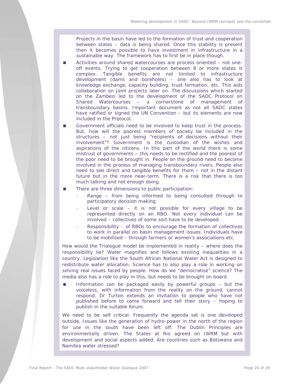Projects in the basin have led to the formation of trust and cooperation between states – data is being shared. Once this stability is present then it becomes possible to have investment in infrastructure in a sustainable way. The framework has to first be in place though.

- Activities around shared watercourses are process oriented not oneoff events. Trying to get cooperation between 8 or more states is complex. Tangible benefits are not limited to infrastructure development (dams and boreholes) – one also has to look at knowledge exchange, capacity building, trust formation, etc. This aids collaboration on joint projects later on. The discussions which started on the Zambezi led to the development of the SADC Protocol on Shared Watercourses – a cornerstone of management of transboundary basins. Important document as not all SADC states have ratified or signed the UN Convention – but its elements are now included in the Protocol.
- Government officials need to be involved to keep trust in the process. But, how will the poorest members of society be included in the structures – not just being "recipients of decisions without their involvement"? Government is the custodian of the wishes and aspirations of the citizens. In this part of the world there is some mistrust of governments – this needs to be rectified and the poorest of the poor need to be brought in. People on the ground need to become involved in the process of managing transboundary rivers. People also need to see direct and tangible benefits for them – not in the distant future but in the more near-term. There is a risk that there is too much talking and not enough doing.
- There are three dimensions to public participation:
	- Range from being informed to being consulted through to participatory decision making.
	- Level or scale  $-$  it is not possible for every village to be represented directly on an RBO. Not every individual can be involved – collectives of some sort have to be developed.
	- Responsibility of RBOs to encourage the formation of collectives to work in parallel on basin management issues. Individuals have to be mobilised – through farmers or women's associations etc.

How would the Trialogue model be implemented in reality – where does the responsibility lie? Water magnifies and follows existing inequalities in a country. Legislation like the South African National Water Act is designed to redistribute water allocation. Science has to also play a role in working on solving real issues faced by people. How do we "democratise" science? The media also has a role to play in this, but needs to be brought on board.

 Information can be packaged easily by powerful groups – but the voiceless, with information from the reality on the ground, cannot respond. Dr Turton extends an invitation to people who have not published before to come forward and tell their story – hoping to publish in the suitable forum.

We need to be self critical. Frequently the agenda set is one developed outside. Issues like the generation of hydro-power in the north of the region for use in the south have been left off. The Dublin Principles are environmentally driven. The States at Rio agreed on IWRM but with development and social aspects added. Are countries such as Botswana and Namibia water stressed?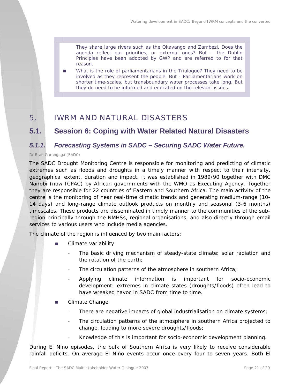They share large rivers such as the Okavango and Zambezi. Does the agenda reflect our priorities, or external ones? But – the Dublin Principles have been adopted by GWP and are referred to for that reason.

 What is the role of parliamentarians in the Trialogue? They need to be involved as they represent the people. But - Parliamentarians work on shorter time-scales, but transboundary water processes take long. But they do need to be informed and educated on the relevant issues.

# 5. IWRM AND NATURAL DISASTERS

# **5.1. Session 6: Coping with Water Related Natural Disasters**

### *5.1.1. Forecasting Systems in SADC – Securing SADC Water Future.*

#### *Dr Brad Garangaga (SADC)*

The SADC Drought Monitoring Centre is responsible for monitoring and predicting of climatic extremes such as floods and droughts in a timely manner with respect to their intensity, geographical extent, duration and impact. It was established in 1989/90 together with DMC Nairobi (now ICPAC) by African governments with the WMO as Executing Agency. Together they are responsible for 22 countries of Eastern and Southern Africa. The main activity of the centre is the monitoring of near real-time climatic trends and generating medium-range (10- 14 days) and long-range climate outlook products on monthly and seasonal (3-6 months) timescales. These products are disseminated in timely manner to the communities of the subregion principally through the NMHSs, regional organisations, and also directly through email services to various users who include media agencies.

The climate of the region is influenced by two main factors:

- **Example 21 Climate variability** 
	- The basic driving mechanism of steady-state climate: solar radiation and the rotation of the earth;
	- The circulation patterns of the atmosphere in southern Africa;
	- Applying climate information is important for socio-economic development: extremes in climate states (droughts/floods) often lead to have wreaked havoc in SADC from time to time.
- **E** Climate Change
	- There are negative impacts of global industrialisation on climate systems;
	- The circulation patterns of the atmosphere in southern Africa projected to change, leading to more severe droughts/floods;
	- Knowledge of this is important for socio-economic development planning.

During El Nino episodes, the bulk of Southern Africa is very likely to receive considerable rainfall deficits. On average El Niño events occur once every four to seven years. Both El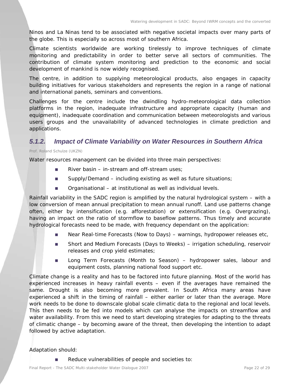Ninos and La Ninas tend to be associated with negative societal impacts over many parts of the globe. This is especially so across most of southern Africa.

Climate scientists worldwide are working tirelessly to improve techniques of climate monitoring and predictability in order to better serve all sectors of communities. The contribution of climate system monitoring and prediction to the economic and social development of mankind is now widely recognised.

The centre, in addition to supplying meteorological products, also engages in capacity building initiatives for various stakeholders and represents the region in a range of national and international panels, seminars and conventions.

Challenges for the centre include the dwindling hydro-meteorological data collection platforms in the region, inadequate infrastructure and appropriate capacity (human and equipment), inadequate coordination and communication between meteorologists and various users groups and the unavailability of advanced technologies in climate prediction and applications.

### *5.1.2. Impact of Climate Variability on Water Resources in Southern Africa*

#### *Prof. Roland Schulze (UKZN)*

Water resources management can be divided into three main perspectives:

- River basin in-stream and off-stream uses;
- Supply/Demand including existing as well as future situations;
- Organisational at institutional as well as individual levels.

Rainfall variability in the SADC region is amplified by the natural hydrological system – with a low conversion of mean annual precipitation to mean annual runoff. Land use patterns change often, either by intensification (e.g. afforestation) or extensification (e.g. Overgrazing), having an impact on the ratio of stormflow to baseflow patterns. Thus timely and accurate hydrological forecasts need to be made, with frequency dependant on the application:

- Near Real-time Forecasts (Now to Days) warnings, hydropower releases etc,
- Short and Medium Forecasts (Days to Weeks) irrigation scheduling, reservoir releases and crop yield estimates;
- **Long Term Forecasts (Month to Season)** hydropower sales, labour and equipment costs, planning national food support etc.

Climate change is a reality and has to be factored into future planning. Most of the world has experienced increases in heavy rainfall events – even if the averages have remained the same. Drought is also becoming more prevalent. In South Africa many areas have experienced a shift in the timing of rainfall – either earlier or later than the average. More work needs to be done to downscale global scale climatic data to the regional and local levels. This then needs to be fed into models which can analyse the impacts on streamflow and water availability. From this we need to start developing strategies for adapting to the threats of climatic change – by becoming aware of the threat, then developing the intention to adapt followed by active adaptation.

#### Adaptation should:

Reduce vulnerabilities of people and societies to: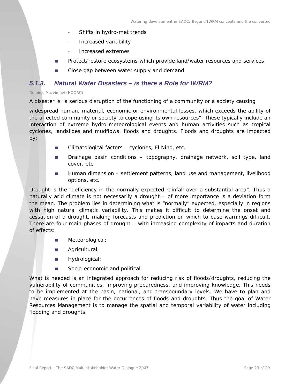- Shifts in hydro-met trends
- Increased variability
- Increased extremes
- **Protect/restore ecosystems which provide land/water resources and services**
- Close gap between water supply and demand

### *5.1.3. Natural Water Disasters – is there a Role for IWRM?*

#### *Dominic Mazvimavi (HOORC)*

A disaster is "a serious disruption of the functioning of a community or a society causing

widespread human, material, economic or environmental losses, which exceeds the ability of the affected community or society to cope using its own resources". These typically include an interaction of extreme hydro-meteorological events and human activities such as tropical cyclones, landslides and mudflows, floods and droughts. Floods and droughts are impacted by:

- Climatological factors cyclones, El Nino, etc.
- **Drainage basin conditions topography, drainage network, soil type, land** cover, etc.
- **Human dimension settlement patterns, land use and management, livelihood** options, etc.

Drought is the "deficiency in the normally expected rainfall over a substantial area". Thus a naturally arid climate is not necessarily a drought – of more importance is a deviation form the mean. The problem lies in determining what is "normally" expected, especially in regions with high natural climatic variability. This makes it difficult to determine the onset and cessation of a drought, making forecasts and prediction on which to base warnings difficult. There are four main phases of drought – with increasing complexity of impacts and duration of effects:

- **Meteorological**;
- Agricultural;
- **Hydrological**;
- Socio-economic and political.

What is needed is an integrated approach for reducing risk of floods/droughts, reducing the vulnerability of communities, improving preparedness, and improving knowledge. This needs to be implemented at the basin, national, and transboundary levels. We have to plan and have measures in place for the occurrences of floods and droughts. Thus the goal of Water Resources Management is to manage the spatial and temporal variability of water including flooding and droughts.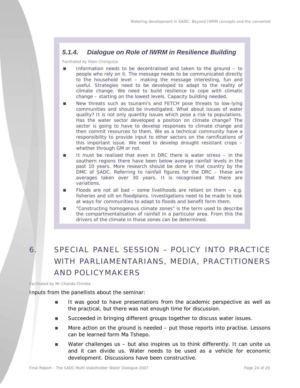# *5.1.4. Dialogue on Role of IWRM in Resilience Building*

*Facilitated by Eben Chonguica* 

- Information needs to be decentralised and taken to the ground to people who rely on it. The message needs to be communicated directly to the household level – making the message interesting, fun and useful. Strategies need to be developed to adapt to the reality of climate change. We need to build resilience to cope with climatic change – starting on the lowest levels. Capacity building needed.
- New threats such as tsunami's and FETCH pose threats to low-lying communities and should be investigated. What about issues of water quality? It is not only quantity issues which pose a risk to populations. Has the water sector developed a position on climate change? The sector is going to have to develop responses to climate change and then commit resources to them. We as a technical community have a responsibility to provide input to other sectors on the ramifications of this important issue. We need to develop drought resistant crops – whether through GM or not.
- It must be realised that even in DRC there is water stress in the southern regions there have been below average rainfall levels in the past 10 years. More research should be done in that country by the DMC of SADC. Referring to rainfall figures for the DRC – these are averages taken over 30 years. It is recognised that there are variations.
- Floods are not all bad some livelihoods are reliant on them  $-$  e.g. fisheries and silt on floodplains. Investigations need to be made to look at ways for communities to adapt to floods and benefit form them.
- **EXECONSTRUCTER 2018 CONSTRUCTER IS CONSTRUCTED THE CONSTRUCTER IS CONSTRUCTED TO A CONSTRUCTER IS CONSTRUCTED** the compartmentalisation of rainfall in a particular area. From this the drivers of the climate in those zones can be determined.

# 6. SPECIAL PANEL SESSION – POLICY INTO PRACTICE WITH PARLIAMENTARIANS, MEDIA, PRACTITIONERS AND POLICYMAKERS

*Facilitated by Mr Chanda Chimba* 

Inputs from the panellists about the seminar:

- It was good to have presentations from the academic perspective as well as the practical, but there was not enough time for discussion.
- Succeeded in bringing different groups together to discuss water issues.
- More action on the ground is needed put those reports into practise. Lessons can be learned form Ma Tshepo.
- Water challenges us but also inspires us to think differently. It can unite us and it can divide us. Water needs to be used as a vehicle for economic development. Discussions have been constructive.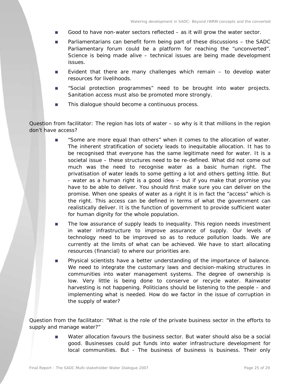- Good to have non-water sectors reflected as it will grow the water sector.
- Parliamentarians can benefit form being part of these discussions the SADC Parliamentary forum could be a platform for reaching the "unconverted". Science is being made alive – technical issues are being made development issues.
- **E**vident that there are many challenges which remain to develop water resources for livelihoods.
- "Social protection programmes" need to be brought into water projects. Sanitation access must also be promoted more strongly.
- This dialogue should become a continuous process.

#### *Question from facilitator: The region has lots of water – so why is it that millions in the region don't have access?*

- "Some are more equal than others" when it comes to the allocation of water. The inherent stratification of society leads to inequitable allocation. It has to be recognised that everyone has the same legitimate need for water. It is a societal issue – these structures need to be re-defined. What did not come out much was the need to recognise water as a basic human right. The privatisation of water leads to some getting a lot and others getting little. But - water as a human right is a good idea – but if you make that promise you have to be able to deliver. You should first make sure you can deliver on the promise. When one speaks of water as a right it is in fact the "access" which is the right. This access can be defined in terms of what the government can realistically deliver. It is the function of government to provide sufficient water for human dignity for the whole population.
- The low assurance of supply leads to inequality. This region needs investment in water infrastructure to improve assurance of supply. Our levels of technology need to be improved so as to reduce pollution loads. We are currently at the limits of what can be achieved. We have to start allocating resources (financial) to where our priorities are.
- **Physical scientists have a better understanding of the importance of balance.** We need to integrate the customary laws and decision-making structures in communities into water management systems. The degree of ownership is low. Very little is being done to conserve or recycle water. Rainwater harvesting is not happening. Politicians should be listening to the people – and implementing what is needed. How do we factor in the issue of corruption in the supply of water?

*Question from the facilitator: "What is the role of the private business sector in the efforts to supply and manage water?"* 

> ■ Water allocation favours the business sector. But water should also be a social good. Businesses could put funds into water infrastructure development for local communities. But - The business of business is business. Their only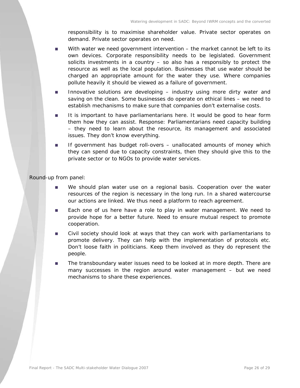responsibility is to maximise shareholder value. Private sector operates on demand. Private sector operates on need.

- With water we need government intervention the market cannot be left to its own devices. Corporate responsibility needs to be legislated. Government solicits investments in a country – so also has a responsibly to protect the resource as well as the local population. Businesses that use water should be charged an appropriate amount for the water they use. Where companies pollute heavily it should be viewed as a failure of government.
- **Innovative solutions are developing industry using more dirty water and** saving on the clean. Some businesses do operate on ethical lines – we need to establish mechanisms to make sure that companies don't externalise costs.
- It is important to have parliamentarians here. It would be good to hear form them how they can assist. Response: Parliamentarians need capacity building – they need to learn about the resource, its management and associated issues. They don't know everything.
- **If government has budget roll-overs unallocated amounts of money which** they can spend due to capacity constraints, then they should give this to the private sector or to NGOs to provide water services.

#### *Round-up from panel:*

- We should plan water use on a regional basis. Cooperation over the water resources of the region is necessary in the long run. In a shared watercourse our actions are linked. We thus need a platform to reach agreement.
- **Each one of us here have a role to play in water management. We need to** provide hope for a better future. Need to ensure mutual respect to promote cooperation.
- Civil society should look at ways that they can work with parliamentarians to promote delivery. They can help with the implementation of protocols etc. Don't loose faith in politicians. Keep them involved as they do represent the people.
- **The transboundary water issues need to be looked at in more depth. There are** many successes in the region around water management – but we need mechanisms to share these experiences.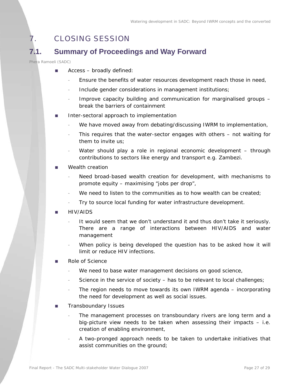# 7. CLOSING SESSION

# **7.1. Summary of Proceedings and Way Forward**

#### *Phera Ramoeli (SADC)*

- $\blacksquare$  Access broadly defined:
	- Ensure the benefits of water resources development reach those in need,
	- Include gender considerations in management institutions;
	- Improve capacity building and communication for marginalised groups break the barriers of containment
- Inter-sectoral approach to implementation
	- We have moved away from debating/discussing IWRM to implementation,
	- This requires that the water-sector engages with others not waiting for them to invite us;
	- Water should play a role in regional economic development through contributions to sectors like energy and transport e.g. Zambezi.
- Wealth creation
	- Need broad-based wealth creation for development, with mechanisms to promote equity – maximising "jobs per drop",
	- We need to listen to the communities as to how wealth can be created;
	- Try to source local funding for water infrastructure development.
- HIV/AIDS
	- It would seem that we don't understand it and thus don't take it seriously. There are a range of interactions between HIV/AIDS and water management
	- When policy is being developed the question has to be asked how it will limit or reduce HIV infections.
- Role of Science
	- We need to base water management decisions on good science,
	- Science in the service of society has to be relevant to local challenges;
	- The region needs to move towards its own IWRM agenda incorporating the need for development as well as social issues.
- **Transboundary Issues** 
	- The management processes on transboundary rivers are long term and a big-picture view needs to be taken when assessing their impacts – i.e. creation of enabling environment,
	- A two-pronged approach needs to be taken to undertake initiatives that assist communities on the ground;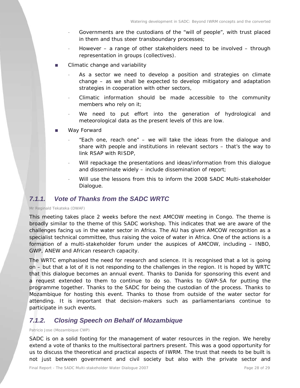- Governments are the custodians of the "will of people", with trust placed in them and thus steer transboundary processes;
- However a range of other stakeholders need to be involved through representation in groups (collectives).
- Climatic change and variability
	- As a sector we need to develop a position and strategies on climate change – as we shall be expected to develop mitigatory and adaptation strategies in cooperation with other sectors,
	- Climatic information should be made accessible to the community members who rely on it;
	- We need to put effort into the generation of hydrological and meteorological data as the present levels of this are low.
- Way Forward
	- "Each one, reach one" we will take the ideas from the dialogue and share with people and institutions in relevant sectors – that's the way to link RSAP with RISDP,
	- Will repackage the presentations and ideas/information from this dialogue and disseminate widely – include dissemination of report;
	- Will use the lessons from this to inform the 2008 SADC Multi-stakeholder Dialogue.

### *7.1.1. Vote of Thanks from the SADC WRTC*

#### *Mr Reginald Tekateka (DWAF)*

This meeting takes place 2 weeks before the next AMCOW meeting in Congo. The theme is broadly similar to the theme of this SADC workshop. This indicates that we are aware of the challenges facing us in the water sector in Africa. The AU has given AMCOW recognition as a specialist technical committee, thus raising the voice of water in Africa. One of the actions is a formation of a multi-stakeholder forum under the auspices of AMCOW, including – INBO, GWP, ANEW and African research capacity.

The WRTC emphasised the need for research and science. It is recognised that a lot is going on – but that a lot of it is not responding to the challenges in the region. It is hoped by WRTC that this dialogue becomes an annual event. Thanks to Danida for sponsoring this event and a request extended to them to continue to do so. Thanks to GWP-SA for putting the programme together. Thanks to the SADC for being the custodian of the process. Thanks to Mozambique for hosting this event. Thanks to those from outside of the water sector for attending. It is important that decision-makers such as parliamentarians continue to participate in such events.

### *7.1.2. Closing Speech on Behalf of Mozambique*

#### *Patricio Jose (Mozambique CWP)*

SADC is on a solid footing for the management of water resources in the region. We hereby extend a vote of thanks to the multisectoral partners present. This was a good opportunity for us to discuss the theoretical and practical aspects of IWRM. The trust that needs to be built is not just between government and civil society but also with the private sector and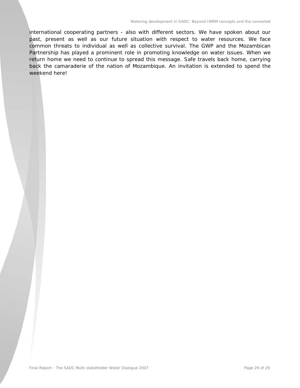international cooperating partners - also with different sectors. We have spoken about our past, present as well as our future situation with respect to water resources. We face common threats to individual as well as collective survival. The GWP and the Mozambican Partnership has played a prominent role in promoting knowledge on water issues. When we return home we need to continue to spread this message. Safe travels back home, carrying back the camaraderie of the nation of Mozambique. An invitation is extended to spend the weekend here!